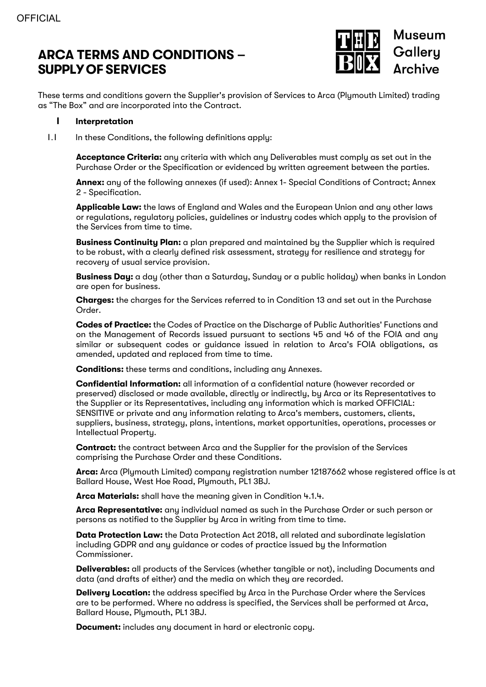# **ARCA TERMS AND CONDITIONS – SUPPLYOF SERVICES**



These terms and conditions govern the Supplier's provision of Services to Arca (Plymouth Limited) trading as "The Box" and are incorporated into the Contract.

#### **1 Interpretation**

1.1 In these Conditions, the following definitions apply:

**Acceptance Criteria:** any criteria with which any Deliverables must comply as set out in the Purchase Order or the Specification or evidenced by written agreement between the parties.

**Annex:** any of the following annexes (if used): Annex 1- Special Conditions of Contract; Annex 2 - Specification.

**Applicable Law:** the laws of England and Wales and the European Union and any other laws or regulations, regulatory policies, guidelines or industry codes which apply to the provision of the Services from time to time.

**Business Continuity Plan:** a plan prepared and maintained by the Supplier which is required to be robust, with a clearly defined risk assessment, strategy for resilience and strategy for recovery of usual service provision.

**Business Day:** a day (other than a Saturday, Sunday or a public holiday) when banks in London are open for business.

**Charges:** the charges for the Services referred to in Condition 13 and set out in the Purchase Order.

**Codes of Practice:** the Codes of Practice on the Discharge of Public Authorities' Functions and on the Management of Records issued pursuant to sections 45 and 46 of the FOIA and any similar or subsequent codes or guidance issued in relation to Arca's FOIA obligations, as amended, updated and replaced from time to time.

**Conditions:** these terms and conditions, including any Annexes.

**Confidential Information:** all information of a confidential nature (however recorded or preserved) disclosed or made available, directly or indirectly, by Arca or its Representatives to the Supplier or its Representatives, including any information which is marked OFFICIAL: SENSITIVE or private and any information relating to Arca's members, customers, clients, suppliers, business, strategy, plans, intentions, market opportunities, operations, processes or Intellectual Property.

**Contract:** the contract between Arca and the Supplier for the provision of the Services comprising the Purchase Order and these Conditions.

**Arca:** Arca (Plymouth Limited) company registration number 12187662 whose registered office is at Ballard House, West Hoe Road, Plymouth, PL1 3BJ.

**Arca Materials:** shall have the meaning given in Condition 4.1.4.

**Arca Representative:** any individual named as such in the Purchase Order or such person or persons as notified to the Supplier by Arca in writing from time to time.

**Data Protection Law:** the Data Protection Act 2018, all related and subordinate legislation including GDPR and any guidance or codes of practice issued by the Information Commissioner.

**Deliverables:** all products of the Services (whether tangible or not), including Documents and data (and drafts of either) and the media on which they are recorded.

**Delivery Location:** the address specified by Arca in the Purchase Order where the Services are to be performed. Where no address is specified, the Services shall be performed at Arca, Ballard House, Plymouth, PL1 3BJ.

**Document:** includes any document in hard or electronic copy.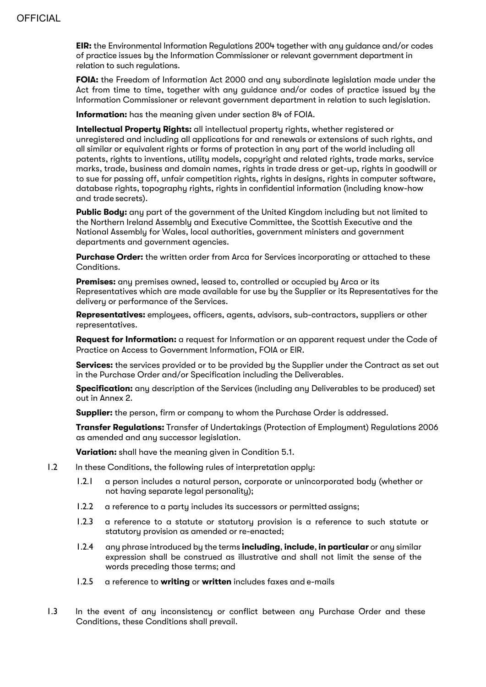**EIR:** the Environmental Information Regulations 2004 together with any guidance and/or codes of practice issues by the Information Commissioner or relevant government department in relation to such regulations.

**FOIA:** the Freedom of Information Act 2000 and any subordinate legislation made under the Act from time to time, together with any guidance and/or codes of practice issued by the Information Commissioner or relevant government department in relation to such legislation.

**Information:** has the meaning given under section 84 of FOIA.

**Intellectual Property Rights:** all intellectual property rights, whether registered or unregistered and including all applications for and renewals or extensions of such rights, and all similar or equivalent rights or forms of protection in any part of the world including all patents, rights to inventions, utility models, copyright and related rights, trade marks, service marks, trade, business and domain names, rights in trade dress or get-up, rights in goodwill or to sue for passing off, unfair competition rights, rights in designs, rights in computer software, database rights, topography rights, rights in confidential information (including know-how and trade secrets).

**Public Body:** any part of the government of the United Kingdom including but not limited to the Northern Ireland Assembly and Executive Committee, the Scottish Executive and the National Assembly for Wales, local authorities, government ministers and government departments and government agencies.

**Purchase Order:** the written order from Arca for Services incorporating or attached to these Conditions.

**Premises:** any premises owned, leased to, controlled or occupied by Arca or its Representatives which are made available for use by the Supplier or its Representatives for the delivery or performance of the Services.

**Representatives:** employees, officers, agents, advisors, sub-contractors, suppliers or other representatives.

**Request for Information:** a request for Information or an apparent request under the Code of Practice on Access to Government Information, FOIA or EIR.

**Services:** the services provided or to be provided by the Supplier under the Contract as set out in the Purchase Order and/or Specification including the Deliverables.

**Specification:** any description of the Services (including any Deliverables to be produced) set out in Annex 2.

**Supplier:** the person, firm or company to whom the Purchase Order is addressed.

**Transfer Regulations:** Transfer of Undertakings (Protection of Employment) Regulations 2006 as amended and any successor legislation.

**Variation:** shall have the meaning given in Condition 5.1.

- 1.2 In these Conditions, the following rules of interpretation apply:
	- 1.2.1 a person includes a natural person, corporate or unincorporated body (whether or not having separate legal personality);
	- 1.2.2 a reference to a party includes its successors or permitted assigns;
	- 1.2.3 a reference to a statute or statutory provision is a reference to such statute or statutory provision as amended or re-enacted;
	- 1.2.4 any phrase introduced by the terms **including**, **include**, **in particular** or any similar expression shall be construed as illustrative and shall not limit the sense of the words preceding those terms; and
	- 1.2.5 a reference to **writing** or **written** includes faxes and e-mails
- 1.3 In the event of any inconsistency or conflict between any Purchase Order and these Conditions, these Conditions shall prevail.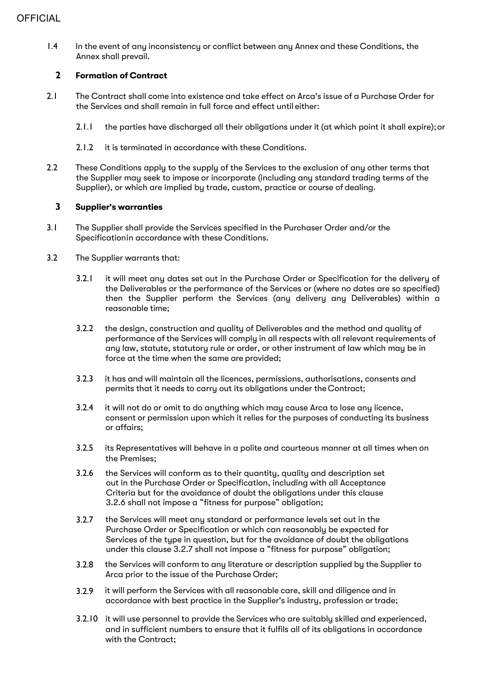1.4 In the event of any inconsistency or conflict between any Annex and these Conditions, the Annex shall prevail.

## **2 Formation of Contract**

- 2.1 The Contract shall come into existence and take effect on Arca's issue of a Purchase Order for the Services and shall remain in full force and effect until either:
	- 2.1.1 the parties have discharged all their obligations under it (at which point it shall expire); or
	- 2.1.2 it is terminated in accordance with these Conditions.
- 2.2 These Conditions apply to the supply of the Services to the exclusion of any other terms that the Supplier may seek to impose or incorporate (including any standard trading terms of the Supplier), or which are implied by trade, custom, practice or course of dealing.

## **3 Supplier's warranties**

- 3.1 The Supplier shall provide the Services specified in the Purchaser Order and/or the Specificationin accordance with these Conditions.
- 3.2 The Supplier warrants that:
	- 3.2.1 it will meet any dates set out in the Purchase Order or Specification for the delivery of the Deliverables or the performance of the Services or (where no dates are so specified) then the Supplier perform the Services (any delivery any Deliverables) within a reasonable time;
	- 3.2.2 the design, construction and quality of Deliverables and the method and quality of performance of the Services will comply in all respects with all relevant requirements of any law, statute, statutory rule or order, or other instrument of law which may be in force at the time when the same are provided;
	- 3.2.3 it has and will maintain all the licences, permissions, authorisations, consents and permits that it needs to carry out its obligations under the Contract;
	- 3.2.4 it will not do or omit to do anything which may cause Arca to lose any licence, consent or permission upon which it relies for the purposes of conducting its business or affairs;
	- 3.2.5 its Representatives will behave in a polite and courteous manner at all times when on the Premises;
	- 3.2.6 the Services will conform as to their quantity, quality and description set out in the Purchase Order or Specification, including with all Acceptance Criteria but for the avoidance of doubt the obligations under this clause 3.2.6 shall not impose a "fitness for purpose" obligation;
	- 3.2.7 the Services will meet any standard or performance levels set out in the Purchase Order or Specification or which can reasonably be expected for Services of the type in question, but for the avoidance of doubt the obligations under this clause 3.2.7 shall not impose a "fitness for purpose" obligation;
	- 3.2.8 the Services will conform to any literature or description supplied by the Supplier to Arca prior to the issue of the Purchase Order;
	- 3.2.9 it will perform the Services with all reasonable care, skill and diligence and in accordance with best practice in the Supplier's industry, profession ortrade;
	- 3.2.10 it will use personnel to provide the Services who are suitably skilled and experienced, and in sufficient numbers to ensure that it fulfils all of its obligations in accordance with the Contract;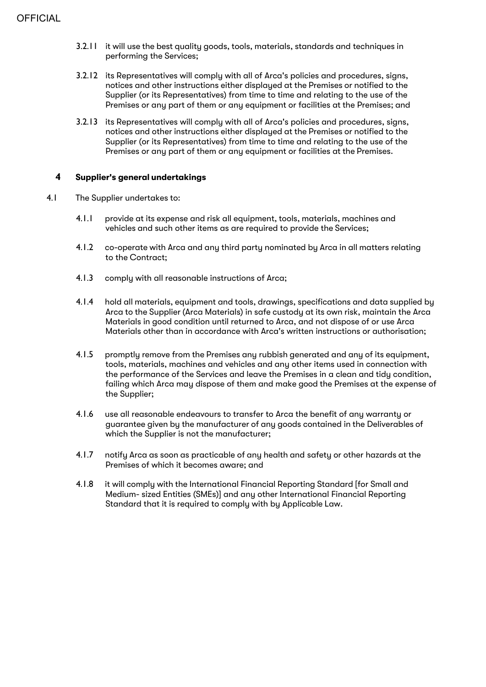- 3.2.11 it will use the best quality goods, tools, materials, standards and techniques in performing the Services;
- 3.2.12 its Representatives will comply with all of Arca's policies and procedures, signs, notices and other instructions either displayed at the Premises or notified to the Supplier (or its Representatives) from time to time and relating to the use of the Premises or any part of them or any equipment or facilities at the Premises; and
- 3.2.13 its Representatives will comply with all of Arca's policies and procedures, signs, notices and other instructions either displayed at the Premises or notified to the Supplier (or its Representatives) from time to time and relating to the use of the Premises or any part of them or any equipment or facilities at the Premises.

## **4 Supplier's general undertakings**

- 4.1 The Supplier undertakes to:
	- 4.1.1 provide at its expense and risk all equipment, tools, materials, machines and vehicles and such other items as are required to provide the Services;
	- 4.1.2 co-operate with Arca and any third party nominated by Arca in all matters relating to the Contract;
	- 4.1.3 comply with all reasonable instructions of Arca;
	- 4.1.4 hold all materials, equipment and tools, drawings, specifications and data supplied by Arca to the Supplier (Arca Materials) in safe custody at its own risk, maintain the Arca Materials in good condition until returned to Arca, and not dispose of or use Arca Materials other than in accordance with Arca's written instructions or authorisation;
	- 4.1.5 promptly remove from the Premises any rubbish generated and any of its equipment, tools, materials, machines and vehicles and any other items used in connection with the performance of the Services and leave the Premises in a clean and tidy condition, failing which Arca may dispose of them and make good the Premises at the expense of the Supplier;
	- 4.1.6 use all reasonable endeavours to transfer to Arca the benefit of any warranty or guarantee given by the manufacturer of any goods contained in the Deliverables of which the Supplier is not the manufacturer;
	- 4.1.7 notify Arca as soon as practicable of any health and safety or other hazards at the Premises of which it becomes aware; and
	- 4.1.8 it will comply with the International Financial Reporting Standard [for Small and Medium- sized Entities (SMEs)] and any other International Financial Reporting Standard that it is required to comply with by Applicable Law.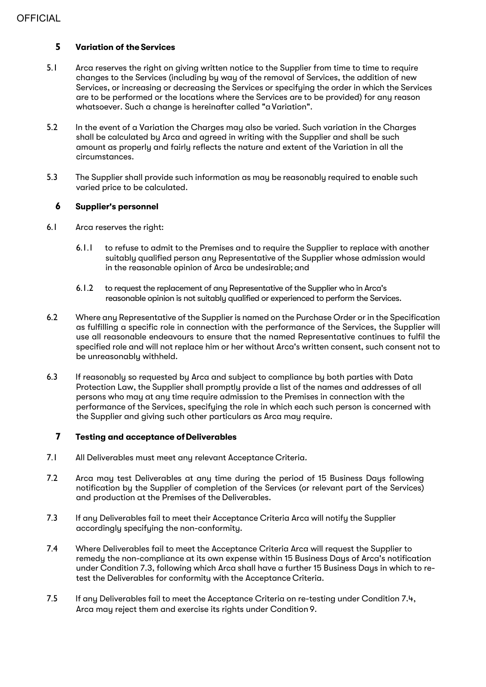## **5 Variation of the Services**

- 5.1 Arca reserves the right on giving written notice to the Supplier from time to time to require changes to the Services (including by way of the removal of Services, the addition of new Services, or increasing or decreasing the Services or specifying the order in which the Services are to be performed or the locations where the Services are to be provided) for any reason whatsoever. Such a change is hereinafter called "a Variation".
- 5.2 In the event of a Variation the Charges may also be varied. Such variation in the Charges shall be calculated by Arca and agreed in writing with the Supplier and shall be such amount as properly and fairly reflects the nature and extent of the Variation in all the circumstances.
- 5.3 The Supplier shall provide such information as may be reasonably required to enable such varied price to be calculated.

## **6 Supplier's personnel**

- 6.1 Arca reserves the right:
	- 6.1.1 to refuse to admit to the Premises and to require the Supplier to replace with another suitably qualified person any Representative of the Supplier whose admission would in the reasonable opinion of Arca be undesirable; and
	- 6.1.2 to request the replacement of any Representative of the Supplier who in Arca's reasonable opinion is not suitably qualified or experienced to perform the Services.
- 6.2 Where any Representative of the Supplier is named on the Purchase Order or in the Specification as fulfilling a specific role in connection with the performance of the Services, the Supplier will use all reasonable endeavours to ensure that the named Representative continues to fulfil the specified role and will not replace him or her without Arca's written consent, such consent not to be unreasonably withheld.
- 6.3 If reasonably so requested by Arca and subject to compliance by both parties with Data Protection Law, the Supplier shall promptly provide a list of the names and addresses of all persons who may at any time require admission to the Premises in connection with the performance of the Services, specifying the role in which each such person is concerned with the Supplier and giving such other particulars as Arca may require.

## **7 Testing and acceptance ofDeliverables**

- 7.1 All Deliverables must meet any relevant Acceptance Criteria.
- 7.2 Arca may test Deliverables at any time during the period of 15 Business Daus following notification by the Supplier of completion of the Services (or relevant part of the Services) and production at the Premises of the Deliverables.
- 7.3 If any Deliverables fail to meet their Acceptance Criteria Arca will notify the Supplier accordingly specifying the non-conformity.
- 7.4 Where Deliverables fail to meet the Acceptance Criteria Arca will request the Supplier to remedy the non-compliance at its own expense within 15 Business Days of Arca's notification under Condition 7.3, following which Arca shall have a further 15 Business Days in which to retest the Deliverables for conformity with the Acceptance Criteria.
- 7.5 If any Deliverables fail to meet the Acceptance Criteria on re-testing under Condition 7.4, Arca may reject them and exercise its rights under Condition 9.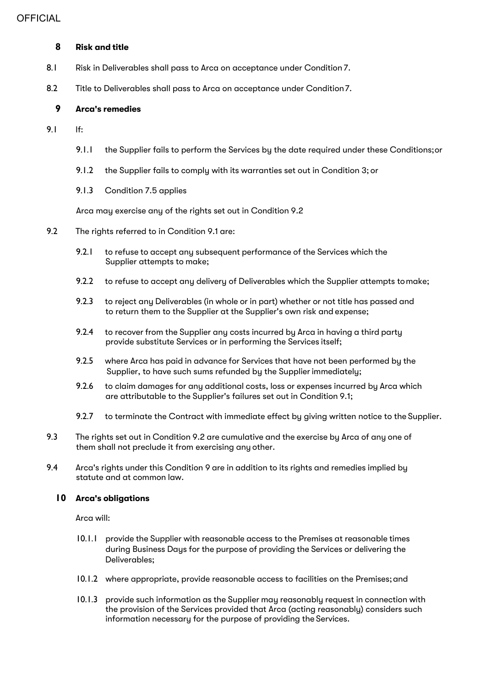## **8 Risk and title**

- 8.1 Risk in Deliverables shall pass to Arca on acceptance under Condition 7.
- 8.2 Title to Deliverables shall pass to Arca on acceptance under Condition7.

## **9 Arca's remedies**

- 9.1 If:
	- 9.1.1 the Supplier fails to perform the Services by the date required under these Conditions;or
	- 9.1.2 the Supplier fails to comply with its warranties set out in Condition 3; or
	- 9.1.3 Condition 7.5 applies

Arca may exercise any of the rights set out in Condition 9.2

- 9.2 The rights referred to in Condition 9.1 are:
	- 9.2.1 to refuse to accept any subsequent performance of the Services which the Supplier attempts to make;
	- 9.2.2 to refuse to accept any delivery of Deliverables which the Supplier attempts tomake;
	- 9.2.3 to reject any Deliverables (in whole or in part) whether or not title has passed and to return them to the Supplier at the Supplier's own risk and expense;
	- 9.2.4 to recover from the Supplier any costs incurred by Arca in having a third party provide substitute Services or in performing the Services itself;
	- 9.2.5 where Arca has paid in advance for Services that have not been performed by the Supplier, to have such sums refunded by the Supplierimmediately;
	- 9.2.6 to claim damages for any additional costs, loss or expenses incurred by Arca which are attributable to the Supplier's failures set out in Condition 9.1;
	- 9.2.7 to terminate the Contract with immediate effect by giving written notice to the Supplier.
- 9.3 The rights set out in Condition 9.2 are cumulative and the exercise bu Arca of any one of them shall not preclude it from exercising any other.
- 9.4 Arca's rights under this Condition 9 are in addition to its rights and remedies implied by statute and at common law.

#### **10 Arca's obligations**

Arca will:

- 10.1.1 provide the Supplier with reasonable access to the Premises at reasonable times during Business Days for the purpose of providing the Services or delivering the Deliverables;
- 10.1.2 where appropriate, provide reasonable access to facilities on the Premises;and
- 10.1.3 provide such information as the Supplier may reasonably request in connection with the provision of the Services provided that Arca (acting reasonably) considers such information necessary for the purpose of providing the Services.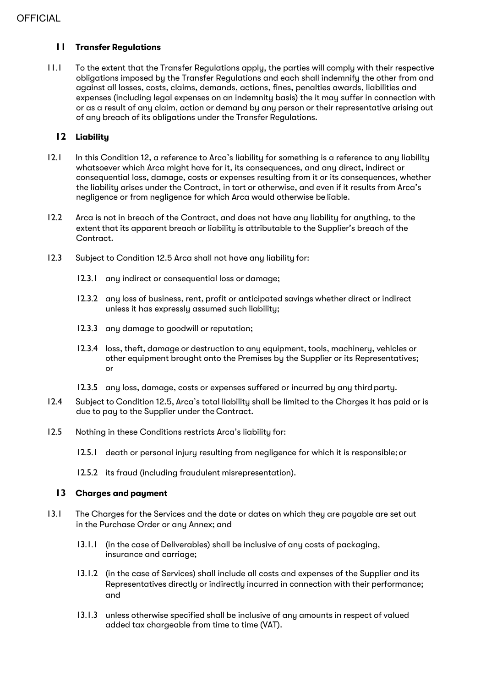## **11 Transfer Regulations**

11.1 To the extent that the Transfer Regulations apply, the parties will comply with their respective obligations imposed by the Transfer Regulations and each shall indemnify the other from and against all losses, costs, claims, demands, actions, fines, penalties awards, liabilities and expenses (including legal expenses on an indemnity basis) the it may suffer in connection with or as a result of any claim, action or demand by any person or their representative arising out of any breach of its obligations under the Transfer Regulations.

## **12 Liability**

- 12.1 In this Condition 12, a reference to Arca's liability for something is a reference to any liability whatsoever which Arca might have for it, its consequences, and any direct, indirect or consequential loss, damage, costs or expenses resulting from it or its consequences, whether the liability arises under the Contract, in tort or otherwise, and even if it results from Arca's negligence or from negligence for which Arca would otherwise be liable.
- 12.2 Arca is not in breach of the Contract, and does not have any liability for anything, to the extent that its apparent breach or liability is attributable to the Supplier's breach of the Contract.
- 12.3 Subject to Condition 12.5 Arca shall not have any liability for:
	- 12.3.1 any indirect or consequential loss or damage;
	- 12.3.2 any loss of business, rent, profit or anticipated savings whether direct or indirect unless it has expressly assumed such liability;
	- 12.3.3 any damage to goodwill or reputation;
	- 12.3.4 loss, theft, damage or destruction to any equipment, tools, machinery, vehicles or other equipment brought onto the Premises by the Supplier or its Representatives; or
	- 12.3.5 any loss, damage, costs or expenses suffered or incurred by any third party.
- 12.4 Subject to Condition 12.5, Arca's total liability shall be limited to the Charges it has paid or is due to pay to the Supplier under the Contract.
- 12.5 Nothing in these Conditions restricts Arca's liability for:
	- 12.5.1 death or personal injury resulting from negligence for which it is responsible;or
	- 12.5.2 its fraud (including fraudulent misrepresentation).

## **13 Charges and payment**

- 13.1 The Charges for the Services and the date or dates on which they are payable are set out in the Purchase Order or any Annex; and
	- 13.1.1 (in the case of Deliverables) shall be inclusive of any costs of packaging, insurance and carriage;
	- 13.1.2 (in the case of Services) shall include all costs and expenses of the Supplier and its Representatives directly or indirectly incurred in connection with their performance; and
	- 13.1.3 unless otherwise specified shall be inclusive of any amounts in respect of valued added tax chargeable from time to time (VAT).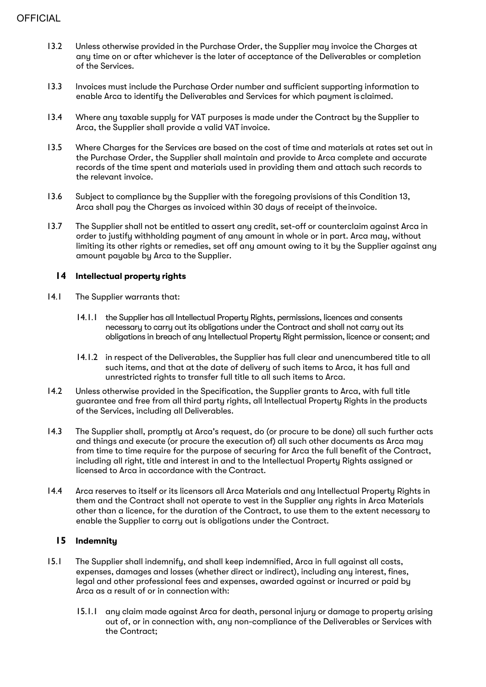- 13.2 Unless otherwise provided in the Purchase Order, the Supplier may invoice the Charges at any time on or after whichever is the later of acceptance of the Deliverables or completion of the Services.
- 13.3 Invoices must include the Purchase Order number and sufficient supporting information to enable Arca to identify the Deliverables and Services for which payment isclaimed.
- 13.4 Where any taxable supply for VAT purposes is made under the Contract by the Supplier to Arca, the Supplier shall provide a valid VAT invoice.
- 13.5 Where Charges for the Services are based on the cost of time and materials at rates set out in the Purchase Order, the Supplier shall maintain and provide to Arca complete and accurate records of the time spent and materials used in providing them and attach such records to the relevant invoice.
- 13.6 Subject to compliance by the Supplier with the foregoing provisions of this Condition 13, Arca shall pay the Charges as invoiced within 30 days of receipt of theinvoice.
- 13.7 The Supplier shall not be entitled to assert any credit, set-off or counterclaim against Arca in order to justify withholding payment of any amount in whole or in part. Arca may, without limiting its other rights or remedies, set off any amount owing to it by the Supplier against any amount payable by Arca to the Supplier.

## **14 Intellectual property rights**

- 14.1 The Supplier warrants that:
	- 14.1.1 the Supplier has all Intellectual Property Rights, permissions, licences and consents necessary to carry out its obligations under the Contract and shall not carry out its obligations in breach of any Intellectual Property Right permission, licence or consent; and
	- 14.1.2 in respect of the Deliverables, the Supplier has full clear and unencumbered title to all such items, and that at the date of delivery of such items to Arca, it has full and unrestricted rights to transfer full title to all such items to Arca.
- 14.2 Unless otherwise provided in the Specification, the Supplier grants to Arca, with full title guarantee and free from all third party rights, all Intellectual Property Rights in the products of the Services, including all Deliverables.
- 14.3 The Supplier shall, promptly at Arca's request, do (or procure to be done) all such further acts and things and execute (or procure the execution of) all such other documents as Arca may from time to time require for the purpose of securing for Arca the full benefit of the Contract, including all right, title and interest in and to the Intellectual Property Rights assigned or licensed to Arca in accordance with the Contract.
- 14.4 Arca reserves to itself or its licensors all Arca Materials and any Intellectual Property Rights in them and the Contract shall not operate to vest in the Supplier any rights in Arca Materials other than a licence, for the duration of the Contract, to use them to the extent necessary to enable the Supplier to carry out is obligations under the Contract.

## **15 Indemnity**

- 15.1 The Supplier shall indemnify, and shall keep indemnified, Arca in full against all costs, expenses, damages and losses (whether direct or indirect), including any interest, fines, legal and other professional fees and expenses, awarded against or incurred or paid by Arca as a result of or in connection with:
	- 15.1.1 any claim made against Arca for death, personal injury or damage to property arising out of, or in connection with, any non-compliance of the Deliverables or Services with the Contract;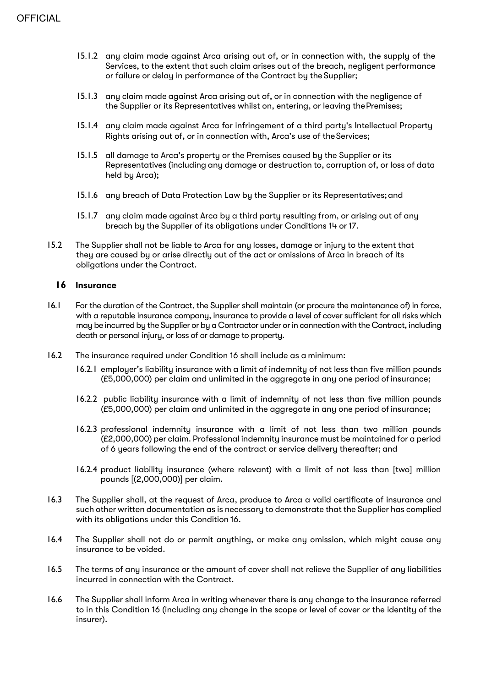- 15.1.2 any claim made against Arca arising out of, or in connection with, the supply of the Services, to the extent that such claim arises out of the breach, negligent performance or failure or delay in performance of the Contract by the Supplier;
- 15.1.3 any claim made against Arca arising out of, or in connection with the negligence of the Supplier or its Representatives whilst on, entering, or leaving thePremises;
- 15.1.4 any claim made against Arca for infringement of a third party's Intellectual Property Rights arising out of, or in connection with, Arca's use of theServices;
- 15.1.5 all damage to Arca's property or the Premises caused by the Supplier or its Representatives (including any damage or destruction to, corruption of, or loss of data held by Arca);
- 15.1.6 any breach of Data Protection Law by the Supplier or its Representatives;and
- 15.1.7 any claim made against Arca by a third party resulting from, or arising out of any breach by the Supplier of its obligations under Conditions 14 or17.
- 15.2 The Supplier shall not be liable to Arca for any losses, damage or injury to the extent that they are caused by or arise directly out of the act or omissions of Arca in breach of its obligations under the Contract.

## **16 Insurance**

- 16.1 For the duration of the Contract, the Supplier shall maintain (or procure the maintenance of) in force, with a reputable insurance company, insurance to provide a level of cover sufficient for all risks which may be incurred by the Supplier or by a Contractor under or in connection with the Contract, including death or personal injury, or loss of or damage to property.
- 16.2 The insurance required under Condition 16 shall include as a minimum:
	- 16.2.1 employer's liability insurance with a limit of indemnity of not less than five million pounds (£5,000,000) per claim and unlimited in the aggregate in any one period ofinsurance;
	- 16.2.2 public liability insurance with a limit of indemnity of not less than five million pounds (£5,000,000) per claim and unlimited in the aggregate in any one period ofinsurance;
	- 16.2.3 professional indemnity insurance with a limit of not less than two million pounds (£2,000,000) per claim. Professional indemnity insurance must be maintained for a period of 6 years following the end of the contract or service delivery thereafter; and
	- 16.2.4 product liability insurance (where relevant) with a limit of not less than [two] million pounds [(2,000,000)] per claim.
- 16.3 The Supplier shall, at the request of Arca, produce to Arca a valid certificate of insurance and such other written documentation as is necessary to demonstrate that the Supplier has complied with its obligations under this Condition 16.
- 16.4 The Supplier shall not do or permit anything, or make any omission, which might cause any insurance to be voided.
- 16.5 The terms of any insurance or the amount of cover shall not relieve the Supplier of any liabilities incurred in connection with the Contract.
- 16.6 The Supplier shall inform Arca in writing whenever there is any change to the insurance referred to in this Condition 16 (including any change in the scope or level of cover or the identity of the insurer).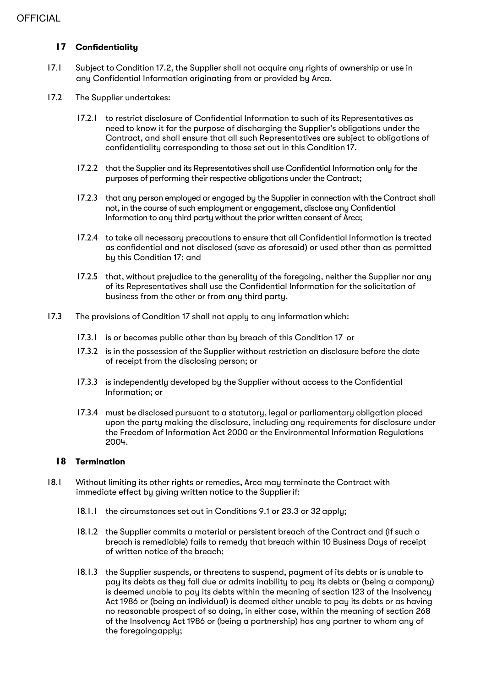## **17 Confidentiality**

- 17.1 Subject to Condition 17.2, the Supplier shall not acquire any rights of ownership or use in any Confidential Information originating from or provided by Arca.
- 17.2 The Supplier undertakes:
	- 17.2.1 to restrict disclosure of Confidential Information to such of its Representatives as need to know it for the purpose of discharging the Supplier's obligations under the Contract, and shall ensure that all such Representatives are subject to obligations of confidentiality corresponding to those set out in this Condition 17.
	- 17.2.2 that the Supplier and its Representatives shall use Confidential Information only for the purposes of performing their respective obligations under the Contract;
	- 17.2.3 that any person employed or engaged by the Supplier in connection with the Contract shall not, in the course of such employment or engagement, disclose any Confidential Information to any third party without the prior written consent of Arca;
	- 17.2.4 to take all necessary precautions to ensure that all Confidential Information is treated as confidential and not disclosed (save as aforesaid) or used other than as permitted by this Condition 17; and
	- 17.2.5 that, without prejudice to the generality of the foregoing, neither the Supplier nor any of its Representatives shall use the Confidential Information for the solicitation of business from the other or from any third party.
- 17.3 The provisions of Condition 17 shall not apply to any information which:
	- 17.3.1 is or becomes public other than by breach of this Condition 17 or
	- 17.3.2 is in the possession of the Supplier without restriction on disclosure before the date of receipt from the disclosing person; or
	- 17.3.3 is independently developed by the Supplier without access to the Confidential Information; or
	- 17.3.4 must be disclosed pursuant to a statutory, legal or parliamentary obligation placed upon the party making the disclosure, including any requirements for disclosure under the Freedom of Information Act 2000 or the Environmental Information Regulations 2004.

## **18 Termination**

- 18.1 Without limiting its other rights or remedies, Arca may terminate the Contract with immediate effect by giving written notice to the Supplierif:
	- 18.1.1 the circumstances set out in Conditions 9.1 or 23.3 or 32 apply;
	- 18.1.2 the Supplier commits a material or persistent breach of the Contract and (if such a breach is remediable) fails to remedy that breach within 10 Business Days of receipt of written notice of the breach;
	- 18.1.3 the Supplier suspends, or threatens to suspend, payment of its debts or is unable to pay its debts as they fall due or admits inability to pay its debts or (being a company) is deemed unable to pay its debts within the meaning of section 123 of the Insolvency Act 1986 or (being an individual) is deemed either unable to pay its debts or as having no reasonable prospect of so doing, in either case, within the meaning of section 268 of the Insolvency Act 1986 or (being a partnership) has any partner to whom any of the foregoingapply;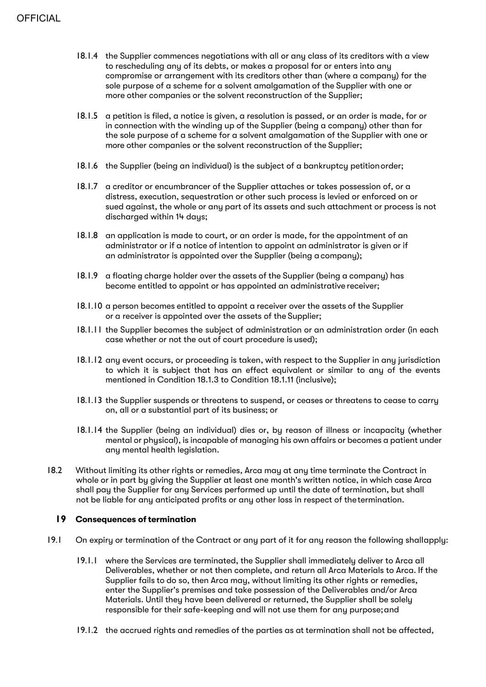- 18.1.4 the Supplier commences negotiations with all or any class of its creditors with a view to rescheduling any of its debts, or makes a proposal for or enters into any compromise or arrangement with its creditors other than (where a company) for the sole purpose of a scheme for a solvent amalgamation of the Supplier with one or more other companies or the solvent reconstruction of the Supplier;
- 18.1.5 a petition is filed, a notice is given, a resolution is passed, or an order is made, for or in connection with the winding up of the Supplier (being a company) other than for the sole purpose of a scheme for a solvent amalgamation of the Supplier with one or more other companies or the solvent reconstruction of the Supplier;
- 18.1.6 the Supplier (being an individual) is the subject of a bankruptcy petitionorder;
- 18.1.7 a creditor or encumbrancer of the Supplier attaches or takes possession of, or a distress, execution, sequestration or other such process is levied or enforced on or sued against, the whole or any part of its assets and such attachment or process is not discharged within 14 days;
- 18.1.8 an application is made to court, or an order is made, for the appointment of an administrator or if a notice of intention to appoint an administrator is given or if an administrator is appointed over the Supplier (being acompany);
- 18.1.9 a floating charge holder over the assets of the Supplier (being a company) has become entitled to appoint or has appointed an administrative receiver;
- 18.1.10 a person becomes entitled to appoint a receiver over the assets of the Supplier or a receiver is appointed over the assets of the Supplier;
- 18.1.11 the Supplier becomes the subject of administration or an administration order (in each case whether or not the out of court procedure is used);
- 18.1.12 any event occurs, or proceeding is taken, with respect to the Supplier in any jurisdiction to which it is subject that has an effect equivalent or similar to any of the events mentioned in Condition 18.1.3 to Condition 18.1.11 (inclusive);
- 18.1.13 the Supplier suspends or threatens to suspend, or ceases or threatens to cease to carry on, all or a substantial part of its business; or
- 18.1.14 the Supplier (being an individual) dies or, by reason of illness or incapacity (whether mental or physical), is incapable of managing his own affairs or becomes a patient under any mental health legislation.
- 18.2 Without limiting its other rights or remedies, Arca may at any time terminate the Contract in whole or in part by giving the Supplier at least one month's written notice, in which case Arca shall pay the Supplier for any Services performed up until the date of termination, but shall not be liable for any anticipated profits or any other loss in respect of thetermination.

#### **19** Consequences of termination

- 19.1 On expiry or termination of the Contract or any part of it for any reason the following shallapply:
	- 19.1.1 where the Services are terminated, the Supplier shall immediately deliver to Arca all Deliverables, whether or not then complete, and return all Arca Materials to Arca. If the Supplier fails to do so, then Arca may, without limiting its other rights or remedies, enter the Supplier's premises and take possession of the Deliverables and/or Arca Materials. Until they have been delivered or returned, the Supplier shall be solely responsible for their safe-keeping and will not use them for any purpose;and
	- 19.1.2 the accrued rights and remedies of the parties as at termination shall not be affected,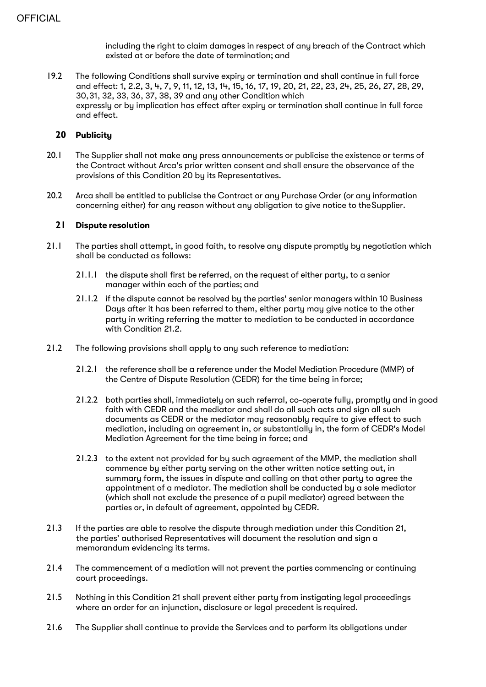including the right to claim damages in respect of any breach of the Contract which existed at or before the date of termination; and

19.2 The following Conditions shall survive expiry or termination and shall continue in full force and effect: 1, 2.2, 3, 4, 7, 9, 11, 12, 13, 14, 15, 16, 17, 19, 20, 21, 22, 23, 24, 25, 26, 27, 28, 29, 30,31, 32, 33, 36, 37, 38, 39 and any other Condition which expressly or by implication has effect after expiry or termination shall continue in full force and effect.

## **20 Publicity**

- 20.1 The Supplier shall not make any press announcements or publicise the existence or terms of the Contract without Arca's prior written consent and shall ensure the observance of the provisions of this Condition 20 by its Representatives.
- 20.2 Arca shall be entitled to publicise the Contract or any Purchase Order (or any information concerning either) for any reason without any obligation to give notice to theSupplier.

## **21 Dispute resolution**

- 21.1 The parties shall attempt, in good faith, to resolve any dispute promptly by negotiation which shall be conducted as follows:
	- 21.1.1 the dispute shall first be referred, on the request of either party, to a senior manager within each of the parties; and
	- 21.1.2 if the dispute cannot be resolved by the parties' senior managers within 10 Business Days after it has been referred to them, either party may give notice to the other party in writing referring the matter to mediation to be conducted in accordance with Condition 21.2.
- 21.2 The following provisions shall apply to any such reference to mediation:
	- 21.2.1 the reference shall be a reference under the Model Mediation Procedure (MMP) of the Centre of Dispute Resolution (CEDR) for the time being in force;
	- 21.2.2 both parties shall, immediately on such referral, co-operate fully, promptly and in good faith with CEDR and the mediator and shall do all such acts and sign all such documents as CEDR or the mediator may reasonably require to give effect to such mediation, including an agreement in, or substantially in, the form of CEDR's Model Mediation Agreement for the time being in force; and
	- 21.2.3 to the extent not provided for by such agreement of the MMP, the mediation shall commence by either party serving on the other written notice setting out, in summary form, the issues in dispute and calling on that other party to agree the appointment of a mediator. The mediation shall be conducted by a sole mediator (which shall not exclude the presence of a pupil mediator) agreed between the parties or, in default of agreement, appointed by CEDR.
- 21.3 If the parties are able to resolve the dispute through mediation under this Condition 21, the parties' authorised Representatives will document the resolution and sign a memorandum evidencing its terms.
- 21.4 The commencement of a mediation will not prevent the parties commencing or continuing court proceedings.
- 21.5 Nothing in this Condition 21 shall prevent either party from instigating legal proceedings where an order for an injunction, disclosure or legal precedent is required.
- 21.6 The Supplier shall continue to provide the Services and to perform its obligations under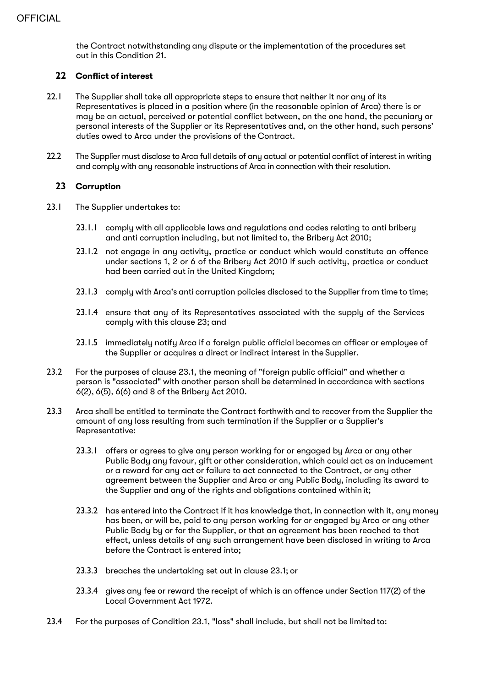the Contract notwithstanding any dispute or the implementation of the procedures set out in this Condition 21.

## **22 Conflict of interest**

- 22.1 The Supplier shall take all appropriate steps to ensure that neither it nor any of its Representatives is placed in a position where (in the reasonable opinion of Arca) there is or may be an actual, perceived or potential conflict between, on the one hand, the pecuniary or personal interests of the Supplier or its Representatives and, on the other hand, such persons' duties owed to Arca under the provisions of the Contract.
- 22.2 The Supplier must disclose to Arca full details of any actual or potential conflict of interest in writing and comply with any reasonable instructions of Arca in connection with their resolution.

## **23 Corruption**

- 23.1 The Supplier undertakes to:
	- 23.1.1 comply with all applicable laws and regulations and codes relating to anti bribery and anti corruption including, but not limited to, the Bribery Act 2010;
	- 23.1.2 not engage in any activity, practice or conduct which would constitute an offence under sections 1, 2 or 6 of the Bribery Act 2010 if such activity, practice or conduct had been carried out in the United Kingdom;
	- 23.1.3 comply with Arca's anti corruption policies disclosed to the Supplier from time to time;
	- 23.1.4 ensure that any of its Representatives associated with the supply of the Services comply with this clause 23; and
	- 23.1.5 immediately notify Arca if a foreign public official becomes an officer or employee of the Supplier or acquires a direct or indirect interest in the Supplier.
- 23.2 For the purposes of clause 23.1, the meaning of "foreign public official" and whether a person is "associated" with another person shall be determined in accordance with sections 6(2), 6(5), 6(6) and 8 of the Bribery Act 2010.
- 23.3 Arca shall be entitled to terminate the Contract forthwith and to recover from the Supplier the amount of any loss resulting from such termination if the Supplier or a Supplier's Representative:
	- 23.3.1 offers or agrees to give any person working for or engaged by Arca or any other Public Body any favour, gift or other consideration, which could act as an inducement or a reward for any act or failure to act connected to the Contract, or any other agreement between the Supplier and Arca or any Public Body, including its award to the Supplier and any of the rights and obligations contained within it;
	- 23.3.2 has entered into the Contract if it has knowledge that, in connection with it, any money has been, or will be, paid to any person working for or engaged by Arca or any other Public Body by or for the Supplier, or that an agreement has been reached to that effect, unless details of any such arrangement have been disclosed in writing to Arca before the Contract is entered into;
	- 23.3.3 breaches the undertaking set out in clause 23.1; or
	- 23.3.4 gives any fee or reward the receipt of which is an offence under Section 117(2) of the Local Government Act 1972.
- 23.4 For the purposes of Condition 23.1, "loss" shall include, but shall not be limitedto: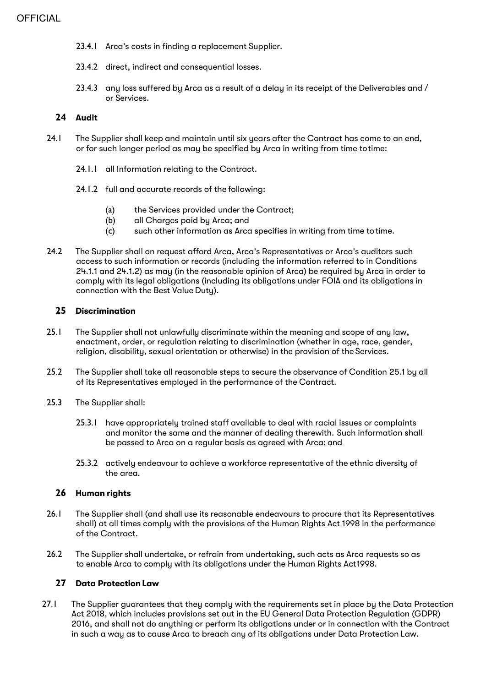- 23.4.1 Arca's costs in finding a replacement Supplier.
- 23.4.2 direct, indirect and consequential losses.
- 23.4.3 any loss suffered by Arca as a result of a delay in its receipt of the Deliverables and / or Services.

#### **24 Audit**

- 24.1 The Supplier shall keep and maintain until six years after the Contract has come to an end, or for such longer period as may be specified by Arca in writing from time totime:
	- 24.1.1 all Information relating to the Contract.
	- 24.1.2 full and accurate records of the following:
		- (a) the Services provided under the Contract;
		- (b) all Charges paid by Arca; and
		- (c) such other information as Arca specifies in writing from time totime.
- 24.2 The Supplier shall on request afford Arca, Arca's Representatives or Arca's auditors such access to such information or records (including the information referred to in Conditions 24.1.1 and 24.1.2) as may (in the reasonable opinion of Arca) be required by Arca in order to comply with its legal obligations (including its obligations under FOIA and its obligations in connection with the Best Value Duty).

#### **25 Discrimination**

- 25.1 The Supplier shall not unlawfully discriminate within the meaning and scope of any law, enactment, order, or regulation relating to discrimination (whether in age, race, gender, religion, disability, sexual orientation or otherwise) in the provision of the Services.
- 25.2 The Supplier shall take all reasonable steps to secure the observance of Condition 25.1 by all of its Representatives employed in the performance of the Contract.
- 25.3 The Supplier shall:
	- 25.3.1 have appropriately trained staff available to deal with racial issues or complaints and monitor the same and the manner of dealing therewith. Such information shall be passed to Arca on a regular basis as agreed with Arca; and
	- 25.3.2 actively endeavour to achieve a workforce representative of the ethnic diversity of the area.

#### **26 Human rights**

- 26.1 The Supplier shall (and shall use its reasonable endeavours to procure that its Representatives shall) at all times comply with the provisions of the Human Rights Act 1998 in the performance of the Contract.
- 26.2 The Supplier shall undertake, or refrain from undertaking, such acts as Arca requests so as to enable Arca to comply with its obligations under the Human Rights Act1998.

#### **27 Data Protection Law**

27.1 The Supplier guarantees that theu complu with the requirements set in place bu the Data Protection Act 2018, which includes provisions set out in the EU General Data Protection Regulation (GDPR) 2016, and shall not do anything or perform its obligations under or in connection with the Contract in such a way as to cause Arca to breach any of its obligations under Data Protection Law.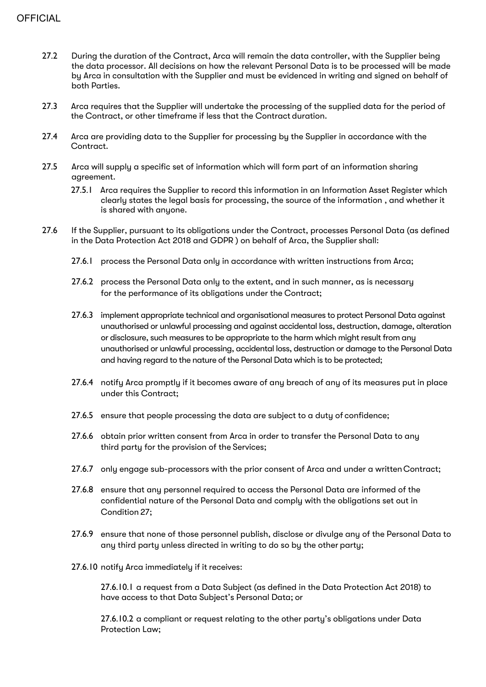- 27.2 During the duration of the Contract, Arca will remain the data controller, with the Supplier being the data processor. All decisions on how the relevant Personal Data is to be processed will be made by Arca in consultation with the Supplier and must be evidenced in writing and signed on behalf of both Parties.
- 27.3 Arca requires that the Supplier will undertake the processing of the supplied data for the period of the Contract, or other timeframe if less that the Contract duration.
- 27.4 Arca are providing data to the Supplier for processing by the Supplier in accordance with the Contract.
- 27.5 Arca will supply a specific set of information which will form part of an information sharing agreement.
	- 27.5.1 Arca requires the Supplier to record this information in an Information Asset Register which clearly states the legal basis for processing, the source of the information , and whether it is shared with anyone.
- 27.6 If the Supplier, pursuant to its obligations under the Contract, processes Personal Data (as defined in the Data Protection Act 2018 and GDPR ) on behalf of Arca, the Supplier shall:
	- 27.6.1 process the Personal Data only in accordance with written instructions from Arca;
	- 27.6.2 process the Personal Data only to the extent, and in such manner, as is necessary for the performance of its obligations under the Contract;
	- 27.6.3 implement appropriate technical and organisational measures to protect Personal Data against unauthorised or unlawful processing and against accidental loss, destruction, damage, alteration or disclosure, such measures to be appropriate to the harm which might result from any unauthorised or unlawful processing, accidental loss, destruction or damage to the Personal Data and having regard to the nature of the Personal Data which is to be protected;
	- 27.6.4 notify Arca promptly if it becomes aware of any breach of any of its measures put in place under this Contract;
	- 27.6.5 ensure that people processing the data are subject to a duty of confidence;
	- 27.6.6 obtain prior written consent from Arca in order to transfer the Personal Data to any third party for the provision of the Services;
	- 27.6.7 only engage sub-processors with the prior consent of Arca and under a writtenContract;
	- 27.6.8 ensure that any personnel required to access the Personal Data are informed of the confidential nature of the Personal Data and comply with the obligations set out in Condition 27;
	- 27.6.9 ensure that none of those personnel publish, disclose or divulge any of the Personal Data to any third party unless directed in writing to do so by the other party;
	- 27.6.10 notify Arca immediately if it receives:

27.6.10.1 a request from a Data Subject (as defined in the Data Protection Act 2018) to have access to that Data Subject's Personal Data; or

27.6.10.2 a compliant or request relating to the other party's obligations under Data Protection Law;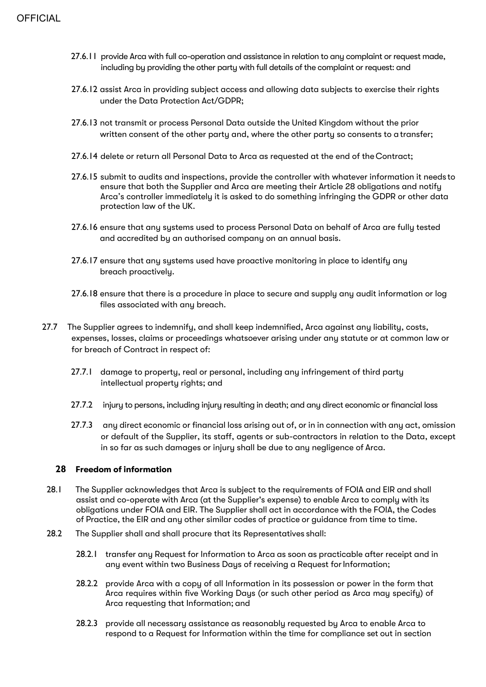- 27.6.11 provide Arca with full co-operation and assistance in relation to any complaint or request made, including by providing the other party with full details of the complaint or request: and
- 27.6.12 assist Arca in providing subject access and allowing data subjects to exercise their rights under the Data Protection Act/GDPR;
- 27.6.13 not transmit or process Personal Data outside the United Kingdom without the prior written consent of the other party and, where the other party so consents to atransfer;
- 27.6.14 delete or return all Personal Data to Arca as requested at the end of theContract;
- 27.6.15 submit to audits and inspections, provide the controller with whatever information it needs to ensure that both the Supplier and Arca are meeting their Article 28 obligations and notify Arca's controller immediately it is asked to do something infringing the GDPR or other data protection law of the UK.
- 27.6.16 ensure that any systems used to process Personal Data on behalf of Arca are fully tested and accredited by an authorised company on an annual basis.
- 27.6.17 ensure that any systems used have proactive monitoring in place to identify any breach proactively.
- 27.6.18 ensure that there is a procedure in place to secure and supply any audit information or log files associated with any breach.
- 27.7 The Supplier agrees to indemnify, and shall keep indemnified, Arca against any liability, costs, expenses, losses, claims or proceedings whatsoever arising under any statute or at common law or for breach of Contract in respect of:
	- 27.7.1 damage to property, real or personal, including any infringement of third party intellectual property rights; and
	- 27.7.2 injury to persons, including injury resulting in death; and any direct economic or financial loss
	- 27.7.3 any direct economic or financial loss arising out of, or in in connection with any act, omission or default of the Supplier, its staff, agents or sub-contractors in relation to the Data, except in so far as such damages or injury shall be due to any negligence of Arca.

## **28 Freedom of information**

- 28.1 The Supplier acknowledges that Arca is subject to the requirements of FOIA and EIR and shall assist and co-operate with Arca (at the Supplier's expense) to enable Arca to comply with its obligations under FOIA and EIR. The Supplier shall act in accordance with the FOIA, the Codes of Practice, the EIR and any other similar codes of practice or guidance from time to time.
- 28.2 The Supplier shall and shall procure that its Representatives shall:
	- 28.2.1 transfer any Request for Information to Arca as soon as practicable after receipt and in any event within two Business Days of receiving a Request for Information;
	- 28.2.2 provide Arca with a copy of all Information in its possession or power in the form that Arca requires within five Working Days (or such other period as Arca may specify) of Arca requesting that Information; and
	- 28.2.3 provide all necessary assistance as reasonably requested by Arca to enable Arca to respond to a Request for Information within the time for compliance set out in section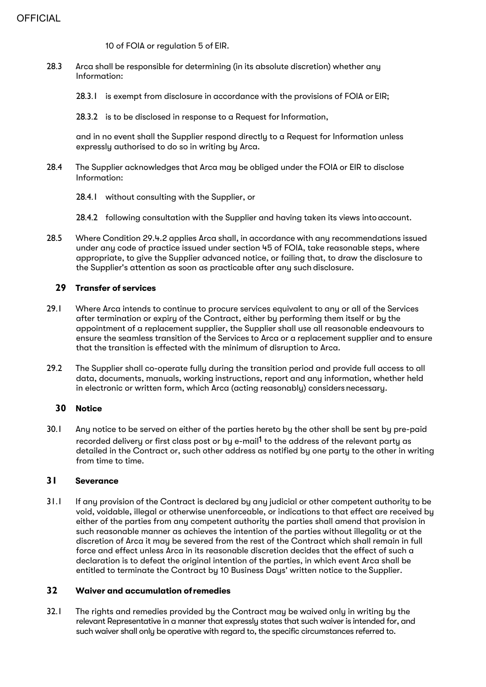10 of FOIA or regulation 5 of EIR.

- 28.3 Arca shall be responsible for determining (in its absolute discretion) whether any Information:
	- 28.3.1 is exempt from disclosure in accordance with the provisions of FOIA or EIR;
	- 28.3.2 is to be disclosed in response to a Request for Information,

and in no event shall the Supplier respond directly to a Request for Information unless expressly authorised to do so in writing by Arca.

- 28.4 The Supplier acknowledges that Arca may be obliged under the FOIA or EIR to disclose Information:
	- 28.4.1 without consulting with the Supplier, or
	- 28.4.2 following consultation with the Supplier and having taken its views into account.
- 28.5 Where Condition 29.4.2 applies Arca shall, in accordance with any recommendations issued under any code of practice issued under section 45 of FOIA, take reasonable steps, where appropriate, to give the Supplier advanced notice, or failing that, to draw the disclosure to the Supplier's attention as soon as practicable after any such disclosure.

## **29 Transfer of services**

- 29.1 Where Arca intends to continue to procure services equivalent to any or all of the Services after termination or expiry of the Contract, either by performing them itself or by the appointment of a replacement supplier, the Supplier shall use all reasonable endeavours to ensure the seamless transition of the Services to Arca or a replacement supplier and to ensure that the transition is effected with the minimum of disruption to Arca.
- 29.2 The Supplier shall co-operate fully during the transition period and provide full access to all data, documents, manuals, working instructions, report and any information, whether held in electronic or written form, which Arca (acting reasonably) considers necessary.

## **30 Notice**

30.1 Any notice to be served on either of the parties hereto by the other shall be sent by pre-paid recorded delivery or first class post or by e-mail<sup>1</sup> to the address of the relevant party as detailed in the Contract or, such other address as notified by one party to the other in writing from time to time.

## **31 Severance**

31.1 If any provision of the Contract is declared by any judicial or other competent authority to be void, voidable, illegal or otherwise unenforceable, or indications to that effect are received by either of the parties from any competent authority the parties shall amend that provision in such reasonable manner as achieves the intention of the parties without illegality or at the discretion of Arca it may be severed from the rest of the Contract which shall remain in full force and effect unless Arca in its reasonable discretion decides that the effect of such a declaration is to defeat the original intention of the parties, in which event Arca shall be entitled to terminate the Contract by 10 Business Days' written notice to the Supplier.

## **32 Waiver and accumulation ofremedies**

32.1 The rights and remedies provided by the Contract may be waived only in writing by the relevant Representative in a manner that expressly states that such waiver is intended for, and such waiver shall only be operative with regard to, the specific circumstances referred to.